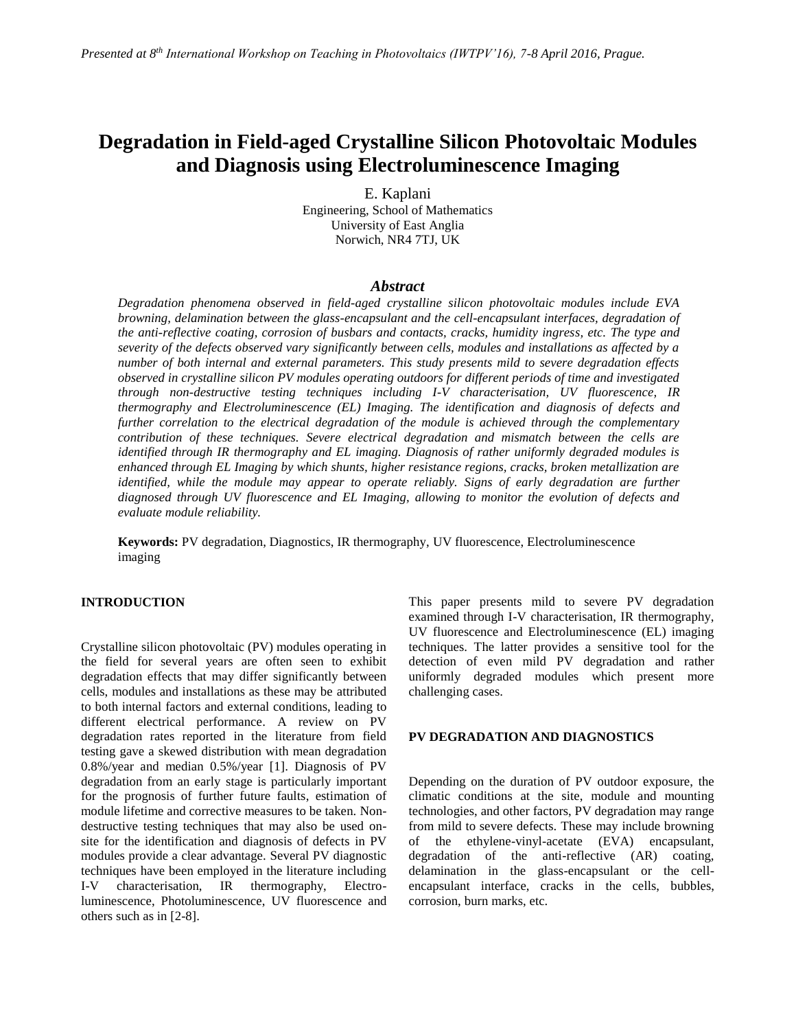# **Degradation in Field-aged Crystalline Silicon Photovoltaic Modules and Diagnosis using Electroluminescence Imaging**

E. Kaplani Engineering, School of Mathematics University of East Anglia Norwich, NR4 7TJ, UK

### *Abstract*

*Degradation phenomena observed in field-aged crystalline silicon photovoltaic modules include EVA browning, delamination between the glass-encapsulant and the cell-encapsulant interfaces, degradation of the anti-reflective coating, corrosion of busbars and contacts, cracks, humidity ingress, etc. The type and severity of the defects observed vary significantly between cells, modules and installations as affected by a number of both internal and external parameters. This study presents mild to severe degradation effects observed in crystalline silicon PV modules operating outdoors for different periods of time and investigated through non-destructive testing techniques including I-V characterisation, UV fluorescence, IR thermography and Electroluminescence (EL) Imaging. The identification and diagnosis of defects and further correlation to the electrical degradation of the module is achieved through the complementary contribution of these techniques. Severe electrical degradation and mismatch between the cells are identified through IR thermography and EL imaging. Diagnosis of rather uniformly degraded modules is enhanced through EL Imaging by which shunts, higher resistance regions, cracks, broken metallization are identified, while the module may appear to operate reliably. Signs of early degradation are further diagnosed through UV fluorescence and EL Imaging, allowing to monitor the evolution of defects and evaluate module reliability.*

**Keywords:** PV degradation, Diagnostics, IR thermography, UV fluorescence, Electroluminescence imaging

## **INTRODUCTION**

Crystalline silicon photovoltaic (PV) modules operating in the field for several years are often seen to exhibit degradation effects that may differ significantly between cells, modules and installations as these may be attributed to both internal factors and external conditions, leading to different electrical performance. A review on PV degradation rates reported in the literature from field testing gave a skewed distribution with mean degradation 0.8%/year and median 0.5%/year [1]. Diagnosis of PV degradation from an early stage is particularly important for the prognosis of further future faults, estimation of module lifetime and corrective measures to be taken. Nondestructive testing techniques that may also be used onsite for the identification and diagnosis of defects in PV modules provide a clear advantage. Several PV diagnostic techniques have been employed in the literature including I-V characterisation, IR thermography, Electroluminescence, Photoluminescence, UV fluorescence and others such as in [2-8].

This paper presents mild to severe PV degradation examined through I-V characterisation, IR thermography, UV fluorescence and Electroluminescence (EL) imaging techniques. The latter provides a sensitive tool for the detection of even mild PV degradation and rather uniformly degraded modules which present more challenging cases.

#### **PV DEGRADATION AND DIAGNOSTICS**

Depending on the duration of PV outdoor exposure, the climatic conditions at the site, module and mounting technologies, and other factors, PV degradation may range from mild to severe defects. These may include browning of the ethylene-vinyl-acetate (EVA) encapsulant, degradation of the anti-reflective (AR) coating, delamination in the glass-encapsulant or the cellencapsulant interface, cracks in the cells, bubbles, corrosion, burn marks, etc.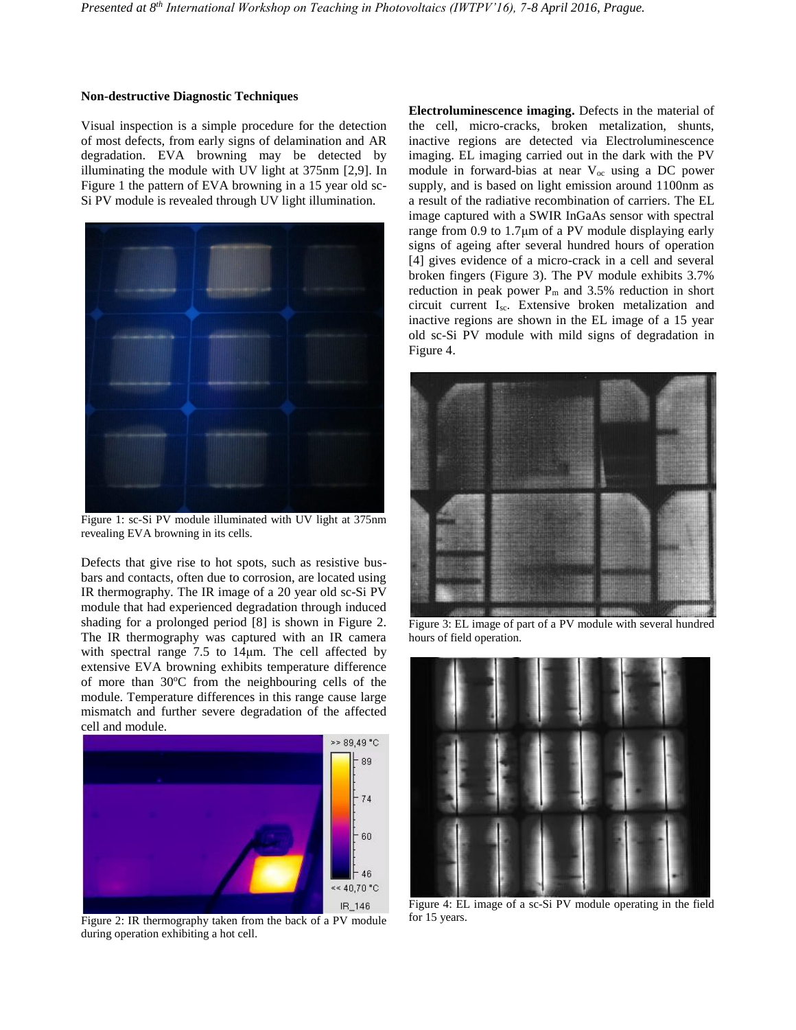#### **Non-destructive Diagnostic Techniques**

Visual inspection is a simple procedure for the detection of most defects, from early signs of delamination and AR degradation. EVA browning may be detected by illuminating the module with UV light at 375nm [2,9]. In Figure 1 the pattern of EVA browning in a 15 year old sc-Si PV module is revealed through UV light illumination.



Figure 1: sc-Si PV module illuminated with UV light at 375nm revealing EVA browning in its cells.

Defects that give rise to hot spots, such as resistive busbars and contacts, often due to corrosion, are located using IR thermography. The IR image of a 20 year old sc-Si PV module that had experienced degradation through induced shading for a prolonged period [8] is shown in Figure 2. The IR thermography was captured with an IR camera with spectral range 7.5 to 14μm. The cell affected by extensive EVA browning exhibits temperature difference of more than  $30^{\circ}$ C from the neighbouring cells of the module. Temperature differences in this range cause large mismatch and further severe degradation of the affected cell and module.



Figure 2: IR thermography taken from the back of a PV module during operation exhibiting a hot cell.

**Electroluminescence imaging.** Defects in the material of the cell, micro-cracks, broken metalization, shunts, inactive regions are detected via Electroluminescence imaging. EL imaging carried out in the dark with the PV module in forward-bias at near  $V_{oc}$  using a DC power supply, and is based on light emission around 1100nm as a result of the radiative recombination of carriers. The EL image captured with a SWIR InGaAs sensor with spectral range from 0.9 to 1.7μm of a PV module displaying early signs of ageing after several hundred hours of operation [4] gives evidence of a micro-crack in a cell and several broken fingers (Figure 3). The PV module exhibits 3.7% reduction in peak power  $P_m$  and 3.5% reduction in short circuit current Isc. Extensive broken metalization and inactive regions are shown in the EL image of a 15 year old sc-Si PV module with mild signs of degradation in Figure 4.



Figure 3: EL image of part of a PV module with several hundred hours of field operation.



Figure 4: EL image of a sc-Si PV module operating in the field for 15 years.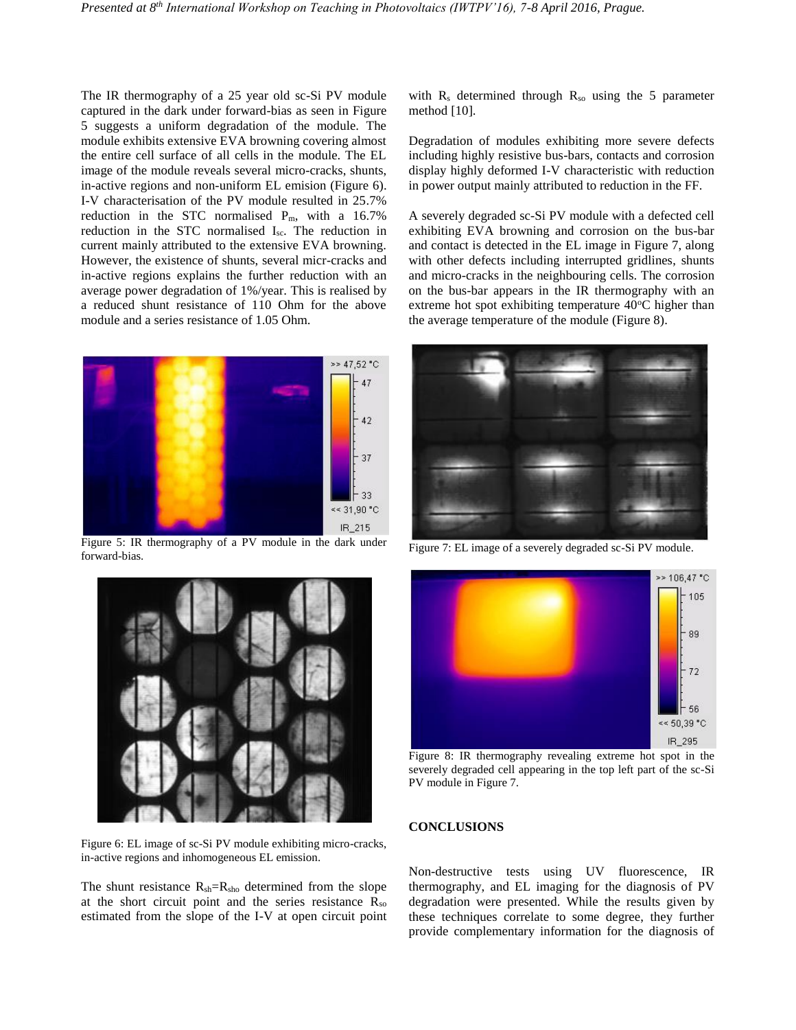The IR thermography of a 25 year old sc-Si PV module captured in the dark under forward-bias as seen in Figure 5 suggests a uniform degradation of the module. The module exhibits extensive EVA browning covering almost the entire cell surface of all cells in the module. The EL image of the module reveals several micro-cracks, shunts, in-active regions and non-uniform EL emision (Figure 6). I-V characterisation of the PV module resulted in 25.7% reduction in the STC normalised Pm, with a 16.7% reduction in the STC normalised Isc. The reduction in current mainly attributed to the extensive EVA browning. However, the existence of shunts, several micr-cracks and in-active regions explains the further reduction with an average power degradation of 1%/year. This is realised by a reduced shunt resistance of 110 Ohm for the above module and a series resistance of 1.05 Ohm.



Figure 5: IR thermography of a PV module in the dark under forward-bias.



Figure 6: EL image of sc-Si PV module exhibiting micro-cracks, in-active regions and inhomogeneous EL emission.

The shunt resistance  $R_{sh}=R_{sho}$  determined from the slope at the short circuit point and the series resistance  $R_{so}$ estimated from the slope of the I-V at open circuit point with  $R_s$  determined through  $R_{so}$  using the 5 parameter method [10].

Degradation of modules exhibiting more severe defects including highly resistive bus-bars, contacts and corrosion display highly deformed I-V characteristic with reduction in power output mainly attributed to reduction in the FF.

A severely degraded sc-Si PV module with a defected cell exhibiting EVA browning and corrosion on the bus-bar and contact is detected in the EL image in Figure 7, along with other defects including interrupted gridlines, shunts and micro-cracks in the neighbouring cells. The corrosion on the bus-bar appears in the IR thermography with an extreme hot spot exhibiting temperature  $40^{\circ}$ C higher than the average temperature of the module (Figure 8).



Figure 7: EL image of a severely degraded sc-Si PV module.



Figure 8: IR thermography revealing extreme hot spot in the severely degraded cell appearing in the top left part of the sc-Si PV module in Figure 7.

#### **CONCLUSIONS**

Non-destructive tests using UV fluorescence, IR thermography, and EL imaging for the diagnosis of PV degradation were presented. While the results given by these techniques correlate to some degree, they further provide complementary information for the diagnosis of